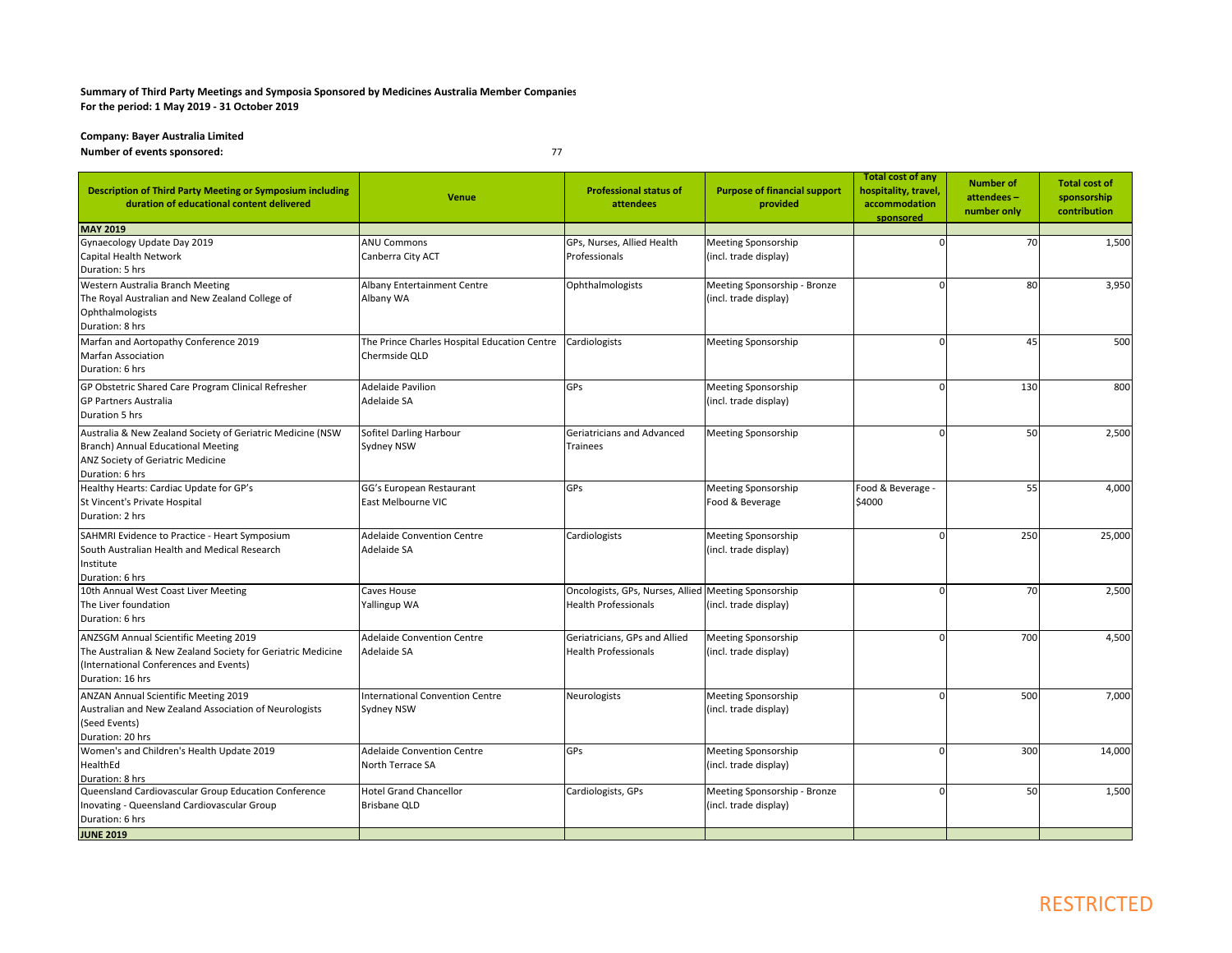## **Summary of Third Party Meetings and Symposia Sponsored by Medicines Australia Member Companies For the period: 1 May 2019 ‐ 31 October 2019**

**Company: Bayer Australia Limited Number of events sponsored:** <sup>77</sup>

| <b>Description of Third Party Meeting or Symposium including</b><br>duration of educational content delivered                                                      | <b>Venue</b>                                                  | <b>Professional status of</b><br>attendees                                          | <b>Purpose of financial support</b><br>provided       | <b>Total cost of any</b><br>hospitality, travel,<br>accommodation<br>sponsored | <b>Number of</b><br>attendees-<br>number only | <b>Total cost of</b><br>sponsorship<br>contribution |
|--------------------------------------------------------------------------------------------------------------------------------------------------------------------|---------------------------------------------------------------|-------------------------------------------------------------------------------------|-------------------------------------------------------|--------------------------------------------------------------------------------|-----------------------------------------------|-----------------------------------------------------|
| <b>MAY 2019</b>                                                                                                                                                    |                                                               |                                                                                     |                                                       |                                                                                |                                               |                                                     |
| Gynaecology Update Day 2019<br>Capital Health Network<br>Duration: 5 hrs                                                                                           | <b>ANU Commons</b><br>Canberra City ACT                       | GPs, Nurses, Allied Health<br>Professionals                                         | Meeting Sponsorship<br>(incl. trade display)          |                                                                                | 70                                            | 1,500                                               |
| Western Australia Branch Meeting<br>The Royal Australian and New Zealand College of<br>Ophthalmologists<br>Duration: 8 hrs                                         | Albany Entertainment Centre<br>Albany WA                      | Ophthalmologists                                                                    | Meeting Sponsorship - Bronze<br>(incl. trade display) | $\Omega$                                                                       | 80                                            | 3,950                                               |
| Marfan and Aortopathy Conference 2019<br><b>Marfan Association</b><br>Duration: 6 hrs                                                                              | The Prince Charles Hospital Education Centre<br>Chermside QLD | Cardiologists                                                                       | Meeting Sponsorship                                   |                                                                                | 45                                            | 500                                                 |
| GP Obstetric Shared Care Program Clinical Refresher<br><b>GP Partners Australia</b><br>Duration 5 hrs                                                              | <b>Adelaide Pavilion</b><br>Adelaide SA                       | GPs                                                                                 | Meeting Sponsorship<br>(incl. trade display)          |                                                                                | 130                                           | 800                                                 |
| Australia & New Zealand Society of Geriatric Medicine (NSW<br>Branch) Annual Educational Meeting<br>ANZ Society of Geriatric Medicine<br>Duration: 6 hrs           | Sofitel Darling Harbour<br>Sydney NSW                         | Geriatricians and Advanced<br><b>Trainees</b>                                       | Meeting Sponsorship                                   |                                                                                | 50                                            | 2,500                                               |
| Healthy Hearts: Cardiac Update for GP's<br>St Vincent's Private Hospital<br>Duration: 2 hrs                                                                        | GG's European Restaurant<br>East Melbourne VIC                | GPs                                                                                 | Meeting Sponsorship<br>Food & Beverage                | Food & Beverage -<br>\$4000                                                    | 55                                            | 4,000                                               |
| SAHMRI Evidence to Practice - Heart Symposium<br>South Australian Health and Medical Research<br>Institute<br>Duration: 6 hrs                                      | <b>Adelaide Convention Centre</b><br>Adelaide SA              | Cardiologists                                                                       | Meeting Sponsorship<br>(incl. trade display)          |                                                                                | 250                                           | 25,000                                              |
| 10th Annual West Coast Liver Meeting<br>The Liver foundation<br>Duration: 6 hrs                                                                                    | Caves House<br>Yallingup WA                                   | Oncologists, GPs, Nurses, Allied Meeting Sponsorship<br><b>Health Professionals</b> | (incl. trade display)                                 | n                                                                              | 70                                            | 2,500                                               |
| ANZSGM Annual Scientific Meeting 2019<br>The Australian & New Zealand Society for Geriatric Medicine<br>(International Conferences and Events)<br>Duration: 16 hrs | <b>Adelaide Convention Centre</b><br>Adelaide SA              | Geriatricians, GPs and Allied<br><b>Health Professionals</b>                        | Meeting Sponsorship<br>(incl. trade display)          |                                                                                | 700                                           | 4,500                                               |
| ANZAN Annual Scientific Meeting 2019<br>Australian and New Zealand Association of Neurologists<br>(Seed Events)<br>Duration: 20 hrs                                | <b>International Convention Centre</b><br>Sydney NSW          | Neurologists                                                                        | Meeting Sponsorship<br>(incl. trade display)          |                                                                                | 500                                           | 7,000                                               |
| Women's and Children's Health Update 2019<br>HealthEd<br>Duration: 8 hrs                                                                                           | <b>Adelaide Convention Centre</b><br>North Terrace SA         | GPs                                                                                 | Meeting Sponsorship<br>(incl. trade display)          |                                                                                | 300                                           | 14,000                                              |
| Queensland Cardiovascular Group Education Conference<br>Inovating - Queensland Cardiovascular Group<br>Duration: 6 hrs                                             | <b>Hotel Grand Chancellor</b><br><b>Brisbane QLD</b>          | Cardiologists, GPs                                                                  | Meeting Sponsorship - Bronze<br>(incl. trade display) |                                                                                | 50                                            | 1,500                                               |
| <b>JUNE 2019</b>                                                                                                                                                   |                                                               |                                                                                     |                                                       |                                                                                |                                               |                                                     |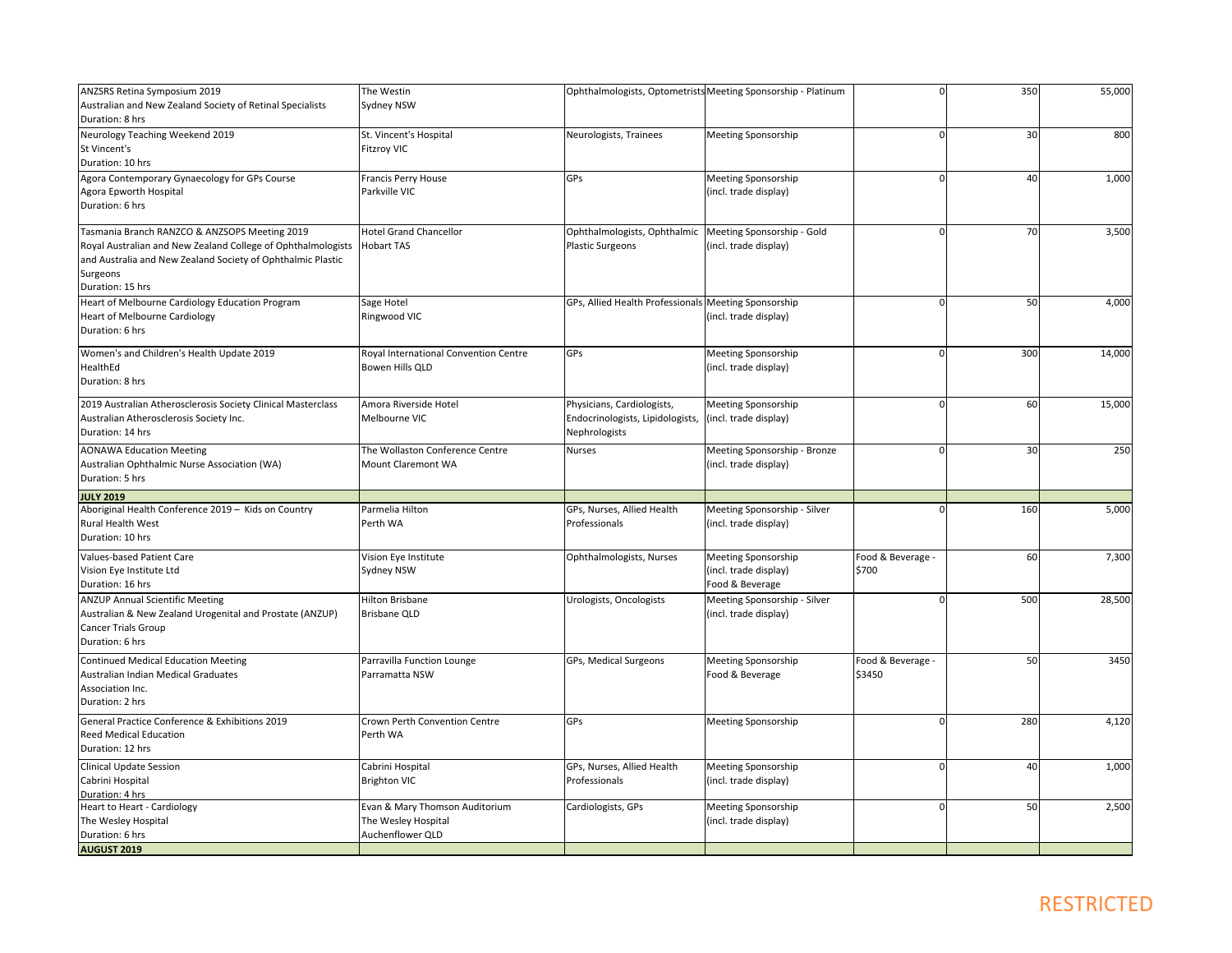| ANZSRS Retina Symposium 2019                                 | The Westin                            |                                                      | Ophthalmologists, Optometrists Meeting Sponsorship - Platinum |                   | 350 | 55,000 |
|--------------------------------------------------------------|---------------------------------------|------------------------------------------------------|---------------------------------------------------------------|-------------------|-----|--------|
| Australian and New Zealand Society of Retinal Specialists    | Sydney NSW                            |                                                      |                                                               |                   |     |        |
| Duration: 8 hrs                                              |                                       |                                                      |                                                               |                   |     |        |
| Neurology Teaching Weekend 2019                              | St. Vincent's Hospital                | Neurologists, Trainees                               | <b>Meeting Sponsorship</b>                                    |                   | 30  | 800    |
| St Vincent's                                                 | <b>Fitzroy VIC</b>                    |                                                      |                                                               |                   |     |        |
| Duration: 10 hrs                                             |                                       |                                                      |                                                               |                   |     |        |
|                                                              |                                       | GPs                                                  |                                                               |                   | 40  |        |
| Agora Contemporary Gynaecology for GPs Course                | Francis Perry House                   |                                                      | <b>Meeting Sponsorship</b>                                    |                   |     | 1,000  |
| Agora Epworth Hospital                                       | Parkville VIC                         |                                                      | (incl. trade display)                                         |                   |     |        |
| Duration: 6 hrs                                              |                                       |                                                      |                                                               |                   |     |        |
| Tasmania Branch RANZCO & ANZSOPS Meeting 2019                | <b>Hotel Grand Chancellor</b>         | Ophthalmologists, Ophthalmic                         | Meeting Sponsorship - Gold                                    |                   | 70  | 3,500  |
| Royal Australian and New Zealand College of Ophthalmologists | <b>Hobart TAS</b>                     | <b>Plastic Surgeons</b>                              | (incl. trade display)                                         |                   |     |        |
| and Australia and New Zealand Society of Ophthalmic Plastic  |                                       |                                                      |                                                               |                   |     |        |
|                                                              |                                       |                                                      |                                                               |                   |     |        |
| Surgeons                                                     |                                       |                                                      |                                                               |                   |     |        |
| Duration: 15 hrs                                             |                                       |                                                      |                                                               |                   |     |        |
| Heart of Melbourne Cardiology Education Program              | Sage Hotel                            | GPs, Allied Health Professionals Meeting Sponsorship |                                                               |                   | 50  | 4,000  |
| <b>Heart of Melbourne Cardiology</b>                         | Ringwood VIC                          |                                                      | (incl. trade display)                                         |                   |     |        |
| Duration: 6 hrs                                              |                                       |                                                      |                                                               |                   |     |        |
| Women's and Children's Health Update 2019                    | Royal International Convention Centre | GPs                                                  | <b>Meeting Sponsorship</b>                                    | $\Omega$          | 300 | 14,000 |
| HealthEd                                                     | Bowen Hills QLD                       |                                                      | (incl. trade display)                                         |                   |     |        |
| Duration: 8 hrs                                              |                                       |                                                      |                                                               |                   |     |        |
|                                                              |                                       |                                                      |                                                               |                   |     |        |
| 2019 Australian Atherosclerosis Society Clinical Masterclass | Amora Riverside Hotel                 | Physicians, Cardiologists,                           | <b>Meeting Sponsorship</b>                                    | $\Omega$          | 60  | 15,000 |
| Australian Atherosclerosis Society Inc.                      | Melbourne VIC                         | Endocrinologists, Lipidologists,                     | (incl. trade display)                                         |                   |     |        |
| Duration: 14 hrs                                             |                                       | Nephrologists                                        |                                                               |                   |     |        |
|                                                              |                                       |                                                      |                                                               |                   |     |        |
| <b>AONAWA Education Meeting</b>                              | The Wollaston Conference Centre       | <b>Nurses</b>                                        | Meeting Sponsorship - Bronze                                  |                   | 30  | 250    |
| Australian Ophthalmic Nurse Association (WA)                 | <b>Mount Claremont WA</b>             |                                                      | (incl. trade display)                                         |                   |     |        |
| Duration: 5 hrs                                              |                                       |                                                      |                                                               |                   |     |        |
| <b>JULY 2019</b>                                             |                                       |                                                      |                                                               |                   |     |        |
| Aboriginal Health Conference 2019 - Kids on Country          | Parmelia Hilton                       | GPs, Nurses, Allied Health                           | Meeting Sponsorship - Silver                                  |                   | 160 | 5,000  |
| Rural Health West                                            | Perth WA                              | Professionals                                        | (incl. trade display)                                         |                   |     |        |
| Duration: 10 hrs                                             |                                       |                                                      |                                                               |                   |     |        |
| Values-based Patient Care                                    | Vision Eye Institute                  | Ophthalmologists, Nurses                             | <b>Meeting Sponsorship</b>                                    | Food & Beverage - | 60  | 7,300  |
| Vision Eye Institute Ltd                                     | Sydney NSW                            |                                                      | (incl. trade display)                                         | \$700             |     |        |
| Duration: 16 hrs                                             |                                       |                                                      | Food & Beverage                                               |                   |     |        |
| <b>ANZUP Annual Scientific Meeting</b>                       | Hilton Brisbane                       | Urologists, Oncologists                              | Meeting Sponsorship - Silver                                  |                   | 500 | 28,500 |
| Australian & New Zealand Urogenital and Prostate (ANZUP)     | <b>Brisbane QLD</b>                   |                                                      | (incl. trade display)                                         |                   |     |        |
| <b>Cancer Trials Group</b>                                   |                                       |                                                      |                                                               |                   |     |        |
| Duration: 6 hrs                                              |                                       |                                                      |                                                               |                   |     |        |
|                                                              |                                       |                                                      |                                                               |                   |     |        |
| <b>Continued Medical Education Meeting</b>                   | Parravilla Function Lounge            | GPs, Medical Surgeons                                | Meeting Sponsorship                                           | Food & Beverage - | 50  | 3450   |
| Australian Indian Medical Graduates                          | Parramatta NSW                        |                                                      | Food & Beverage                                               | \$3450            |     |        |
| Association Inc.                                             |                                       |                                                      |                                                               |                   |     |        |
| Duration: 2 hrs                                              |                                       |                                                      |                                                               |                   |     |        |
| General Practice Conference & Exhibitions 2019               | Crown Perth Convention Centre         | GPs                                                  | <b>Meeting Sponsorship</b>                                    |                   | 280 | 4,120  |
| <b>Reed Medical Education</b>                                | Perth WA                              |                                                      |                                                               |                   |     |        |
| Duration: 12 hrs                                             |                                       |                                                      |                                                               |                   |     |        |
|                                                              |                                       |                                                      |                                                               |                   |     |        |
| Clinical Update Session                                      | Cabrini Hospital                      | GPs, Nurses, Allied Health                           | Meeting Sponsorship                                           |                   | 40  | 1,000  |
| Cabrini Hospital                                             | <b>Brighton VIC</b>                   | Professionals                                        | (incl. trade display)                                         |                   |     |        |
| Duration: 4 hrs                                              |                                       |                                                      |                                                               |                   |     |        |
| Heart to Heart - Cardiology                                  | Evan & Mary Thomson Auditorium        | Cardiologists, GPs                                   | <b>Meeting Sponsorship</b>                                    | $\Omega$          | 50  | 2,500  |
| The Wesley Hospital                                          | The Wesley Hospital                   |                                                      | (incl. trade display)                                         |                   |     |        |
| Duration: 6 hrs                                              | Auchenflower QLD                      |                                                      |                                                               |                   |     |        |
| <b>AUGUST 2019</b>                                           |                                       |                                                      |                                                               |                   |     |        |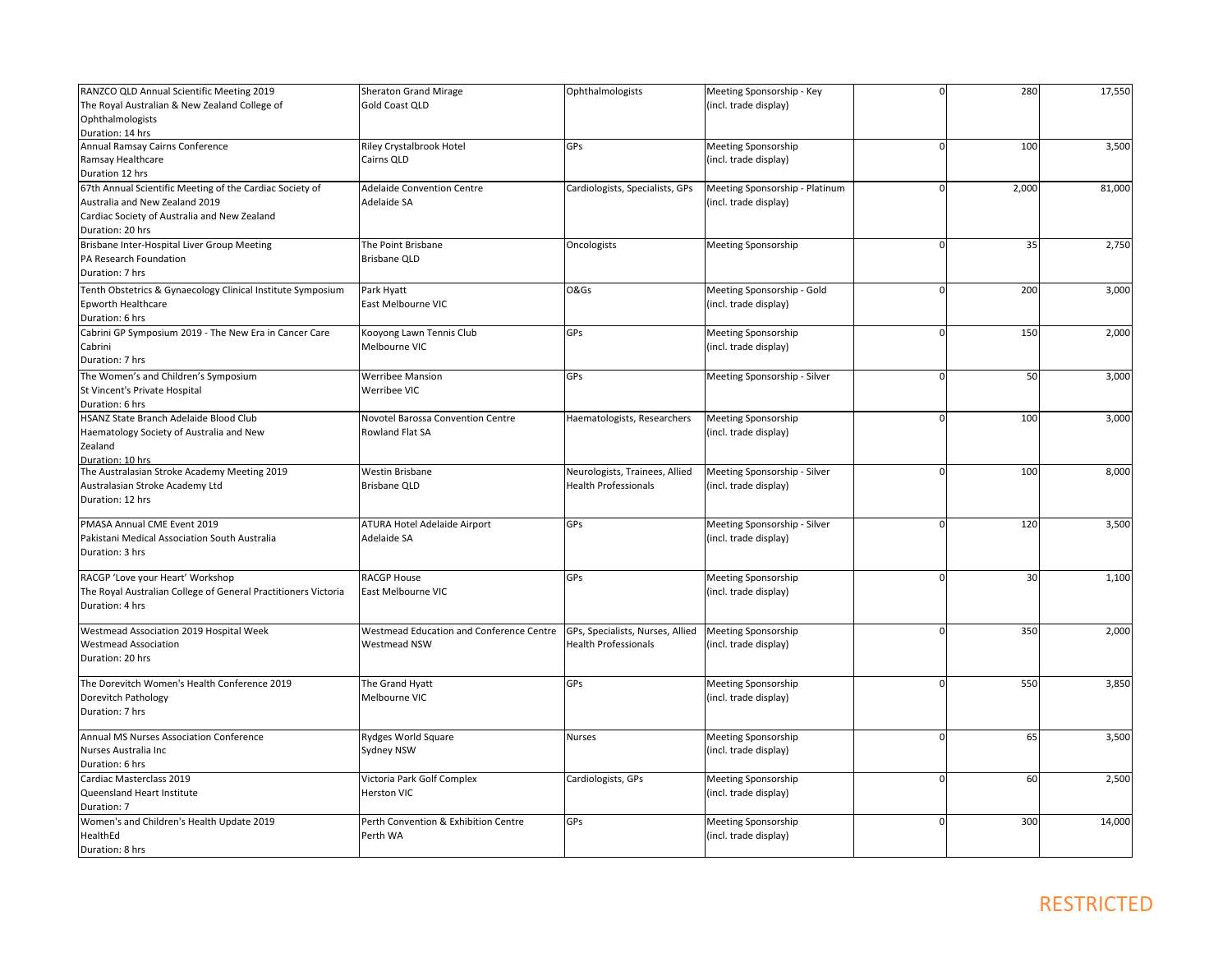| RANZCO QLD Annual Scientific Meeting 2019                      | <b>Sheraton Grand Mirage</b>             | Ophthalmologists                 | Meeting Sponsorship - Key      | $\Omega$    | 280   | 17,550 |
|----------------------------------------------------------------|------------------------------------------|----------------------------------|--------------------------------|-------------|-------|--------|
| The Royal Australian & New Zealand College of                  | <b>Gold Coast QLD</b>                    |                                  | (incl. trade display)          |             |       |        |
| Ophthalmologists                                               |                                          |                                  |                                |             |       |        |
| Duration: 14 hrs                                               |                                          |                                  |                                |             |       |        |
| Annual Ramsay Cairns Conference                                | Riley Crystalbrook Hotel                 | GPs                              | Meeting Sponsorship            | $\mathbf 0$ | 100   | 3,500  |
| Ramsay Healthcare                                              | Cairns QLD                               |                                  | (incl. trade display)          |             |       |        |
| Duration 12 hrs                                                |                                          |                                  |                                |             |       |        |
| 67th Annual Scientific Meeting of the Cardiac Society of       | <b>Adelaide Convention Centre</b>        | Cardiologists, Specialists, GPs  | Meeting Sponsorship - Platinum | $\Omega$    | 2,000 | 81,000 |
| Australia and New Zealand 2019                                 | Adelaide SA                              |                                  | (incl. trade display)          |             |       |        |
| Cardiac Society of Australia and New Zealand                   |                                          |                                  |                                |             |       |        |
| Duration: 20 hrs                                               |                                          |                                  |                                |             |       |        |
| Brisbane Inter-Hospital Liver Group Meeting                    | The Point Brisbane                       | Oncologists                      | Meeting Sponsorship            | $\mathbf 0$ | 35    | 2,750  |
| PA Research Foundation                                         | <b>Brisbane QLD</b>                      |                                  |                                |             |       |        |
| Duration: 7 hrs                                                |                                          |                                  |                                |             |       |        |
|                                                                |                                          |                                  |                                |             |       |        |
| Tenth Obstetrics & Gynaecology Clinical Institute Symposium    | Park Hyatt                               | O&Gs                             | Meeting Sponsorship - Gold     | $\mathbf 0$ | 200   | 3,000  |
| Epworth Healthcare                                             | East Melbourne VIC                       |                                  | (incl. trade display)          |             |       |        |
| Duration: 6 hrs                                                |                                          |                                  |                                |             |       |        |
| Cabrini GP Symposium 2019 - The New Era in Cancer Care         | Kooyong Lawn Tennis Club                 | GPs                              | Meeting Sponsorship            | $\mathbf 0$ | 150   | 2,000  |
| Cabrini                                                        | Melbourne VIC                            |                                  | (incl. trade display)          |             |       |        |
| Duration: 7 hrs                                                |                                          |                                  |                                |             |       |        |
| The Women's and Children's Symposium                           | <b>Werribee Mansion</b>                  | GPs                              | Meeting Sponsorship - Silver   | $\mathbf 0$ | 50    | 3,000  |
| St Vincent's Private Hospital                                  | Werribee VIC                             |                                  |                                |             |       |        |
| Duration: 6 hrs                                                |                                          |                                  |                                |             |       |        |
| HSANZ State Branch Adelaide Blood Club                         | Novotel Barossa Convention Centre        | Haematologists, Researchers      | Meeting Sponsorship            | $\mathbf 0$ | 100   | 3,000  |
| Haematology Society of Australia and New                       | Rowland Flat SA                          |                                  | (incl. trade display)          |             |       |        |
| Zealand                                                        |                                          |                                  |                                |             |       |        |
| Duration: 10 hrs                                               |                                          |                                  |                                |             |       |        |
| The Australasian Stroke Academy Meeting 2019                   | Westin Brisbane                          | Neurologists, Trainees, Allied   | Meeting Sponsorship - Silver   | $\mathbf 0$ | 100   | 8,000  |
| Australasian Stroke Academy Ltd                                | <b>Brisbane QLD</b>                      | <b>Health Professionals</b>      | (incl. trade display)          |             |       |        |
| Duration: 12 hrs                                               |                                          |                                  |                                |             |       |        |
| PMASA Annual CME Event 2019                                    | ATURA Hotel Adelaide Airport             | GPs                              | Meeting Sponsorship - Silver   | $\mathbf 0$ | 120   | 3,500  |
| Pakistani Medical Association South Australia                  | Adelaide SA                              |                                  | (incl. trade display)          |             |       |        |
| Duration: 3 hrs                                                |                                          |                                  |                                |             |       |        |
| RACGP 'Love your Heart' Workshop                               | <b>RACGP House</b>                       | GPs                              | Meeting Sponsorship            | $\mathbf 0$ | 30    | 1,100  |
| The Royal Australian College of General Practitioners Victoria | East Melbourne VIC                       |                                  | (incl. trade display)          |             |       |        |
| Duration: 4 hrs                                                |                                          |                                  |                                |             |       |        |
| Westmead Association 2019 Hospital Week                        | Westmead Education and Conference Centre | GPs, Specialists, Nurses, Allied | Meeting Sponsorship            | $\Omega$    | 350   | 2,000  |
| <b>Westmead Association</b>                                    | Westmead NSW                             | <b>Health Professionals</b>      | (incl. trade display)          |             |       |        |
| Duration: 20 hrs                                               |                                          |                                  |                                |             |       |        |
| The Dorevitch Women's Health Conference 2019                   | The Grand Hyatt                          | GPs                              | Meeting Sponsorship            | $\Omega$    | 550   | 3,850  |
| Dorevitch Pathology                                            | Melbourne VIC                            |                                  | (incl. trade display)          |             |       |        |
| Duration: 7 hrs                                                |                                          |                                  |                                |             |       |        |
| Annual MS Nurses Association Conference                        | Rydges World Square                      | Nurses                           | Meeting Sponsorship            | $\mathbf 0$ | 65    | 3,500  |
| Nurses Australia Inc                                           | Sydney NSW                               |                                  | (incl. trade display)          |             |       |        |
| Duration: 6 hrs                                                |                                          |                                  |                                |             |       |        |
| Cardiac Masterclass 2019                                       | Victoria Park Golf Complex               | Cardiologists, GPs               | Meeting Sponsorship            | $\Omega$    | 60    | 2,500  |
| Queensland Heart Institute                                     | <b>Herston VIC</b>                       |                                  | (incl. trade display)          |             |       |        |
| Duration: 7                                                    |                                          |                                  |                                |             |       |        |
| Women's and Children's Health Update 2019                      | Perth Convention & Exhibition Centre     | GPs                              | Meeting Sponsorship            | $\Omega$    | 300   | 14,000 |
| HealthEd                                                       | Perth WA                                 |                                  | (incl. trade display)          |             |       |        |
| Duration: 8 hrs                                                |                                          |                                  |                                |             |       |        |
|                                                                |                                          |                                  |                                |             |       |        |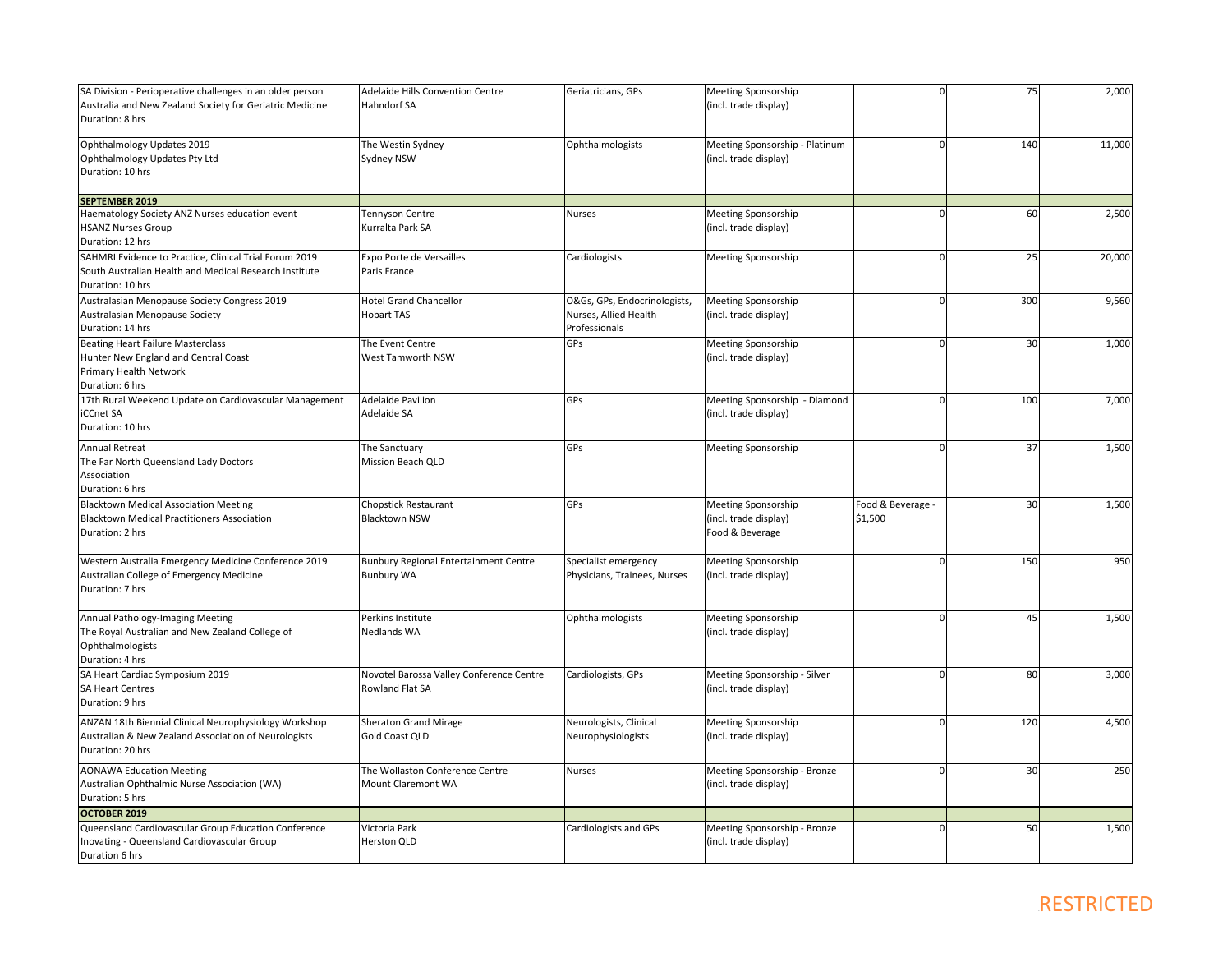| SA Division - Perioperative challenges in an older person                                                     | Adelaide Hills Convention Centre                      | Geriatricians, GPs                           | <b>Meeting Sponsorship</b>                   |                   | 75  | 2,000  |
|---------------------------------------------------------------------------------------------------------------|-------------------------------------------------------|----------------------------------------------|----------------------------------------------|-------------------|-----|--------|
| Australia and New Zealand Society for Geriatric Medicine                                                      | <b>Hahndorf SA</b>                                    |                                              | (incl. trade display)                        |                   |     |        |
| Duration: 8 hrs                                                                                               |                                                       |                                              |                                              |                   |     |        |
| Ophthalmology Updates 2019                                                                                    | The Westin Sydney                                     | Ophthalmologists                             | Meeting Sponsorship - Platinum               |                   | 140 | 11,000 |
| Ophthalmology Updates Pty Ltd                                                                                 | Sydney NSW                                            |                                              | (incl. trade display)                        |                   |     |        |
| Duration: 10 hrs                                                                                              |                                                       |                                              |                                              |                   |     |        |
|                                                                                                               |                                                       |                                              |                                              |                   |     |        |
| <b>SEPTEMBER 2019</b>                                                                                         |                                                       |                                              |                                              |                   |     |        |
| Haematology Society ANZ Nurses education event                                                                | Tennyson Centre                                       | <b>Nurses</b>                                | <b>Meeting Sponsorship</b>                   |                   | 60  | 2,500  |
| <b>HSANZ Nurses Group</b>                                                                                     | Kurralta Park SA                                      |                                              | (incl. trade display)                        |                   |     |        |
| Duration: 12 hrs                                                                                              |                                                       |                                              |                                              |                   |     |        |
| SAHMRI Evidence to Practice, Clinical Trial Forum 2019                                                        | Expo Porte de Versailles                              | Cardiologists                                | <b>Meeting Sponsorship</b>                   |                   | 25  | 20,000 |
| South Australian Health and Medical Research Institute                                                        | Paris France                                          |                                              |                                              |                   |     |        |
| Duration: 10 hrs                                                                                              |                                                       |                                              |                                              |                   |     |        |
| Australasian Menopause Society Congress 2019                                                                  | <b>Hotel Grand Chancellor</b>                         | O&Gs, GPs, Endocrinologists,                 | <b>Meeting Sponsorship</b>                   |                   | 300 | 9,560  |
| Australasian Menopause Society                                                                                | <b>Hobart TAS</b>                                     | Nurses, Allied Health                        | (incl. trade display)                        |                   |     |        |
| Duration: 14 hrs                                                                                              |                                                       | Professionals                                |                                              |                   |     |        |
| <b>Beating Heart Failure Masterclass</b>                                                                      | The Event Centre                                      | GPs                                          | <b>Meeting Sponsorship</b>                   |                   | 30  | 1,000  |
| Hunter New England and Central Coast                                                                          | West Tamworth NSW                                     |                                              | (incl. trade display)                        |                   |     |        |
| Primary Health Network                                                                                        |                                                       |                                              |                                              |                   |     |        |
| Duration: 6 hrs                                                                                               |                                                       |                                              |                                              |                   |     |        |
| 17th Rural Weekend Update on Cardiovascular Management                                                        | <b>Adelaide Pavilion</b>                              | GPs                                          | Meeting Sponsorship - Diamond                | $\Omega$          | 100 | 7,000  |
| iCCnet SA                                                                                                     | Adelaide SA                                           |                                              | (incl. trade display)                        |                   |     |        |
| Duration: 10 hrs                                                                                              |                                                       |                                              |                                              |                   |     |        |
| Annual Retreat                                                                                                | The Sanctuary                                         | GPs                                          | <b>Meeting Sponsorship</b>                   |                   | 37  | 1,500  |
| The Far North Queensland Lady Doctors                                                                         | Mission Beach QLD                                     |                                              |                                              |                   |     |        |
| Association                                                                                                   |                                                       |                                              |                                              |                   |     |        |
| Duration: 6 hrs                                                                                               |                                                       |                                              |                                              |                   |     |        |
| <b>Blacktown Medical Association Meeting</b>                                                                  | <b>Chopstick Restaurant</b>                           | GPs                                          | <b>Meeting Sponsorship</b>                   | Food & Beverage - | 30  | 1,500  |
| <b>Blacktown Medical Practitioners Association</b>                                                            | <b>Blacktown NSW</b>                                  |                                              | (incl. trade display)                        | \$1,500           |     |        |
| Duration: 2 hrs                                                                                               |                                                       |                                              | Food & Beverage                              |                   |     |        |
|                                                                                                               |                                                       |                                              |                                              |                   | 150 |        |
| Western Australia Emergency Medicine Conference 2019                                                          | <b>Bunbury Regional Entertainment Centre</b>          | Specialist emergency                         | <b>Meeting Sponsorship</b>                   |                   |     | 950    |
| Australian College of Emergency Medicine<br>Duration: 7 hrs                                                   | <b>Bunbury WA</b>                                     | Physicians, Trainees, Nurses                 | (incl. trade display)                        |                   |     |        |
|                                                                                                               |                                                       |                                              |                                              |                   |     |        |
| Annual Pathology-Imaging Meeting                                                                              | Perkins Institute                                     | Ophthalmologists                             | <b>Meeting Sponsorship</b>                   | $\Omega$          | 45  | 1,500  |
| The Royal Australian and New Zealand College of                                                               | Nedlands WA                                           |                                              | (incl. trade display)                        |                   |     |        |
| Ophthalmologists                                                                                              |                                                       |                                              |                                              |                   |     |        |
| Duration: 4 hrs                                                                                               |                                                       |                                              |                                              |                   |     |        |
| SA Heart Cardiac Symposium 2019                                                                               | Novotel Barossa Valley Conference Centre              | Cardiologists, GPs                           | Meeting Sponsorship - Silver                 | $\Omega$          | 80  | 3,000  |
| <b>SA Heart Centres</b>                                                                                       | Rowland Flat SA                                       |                                              | (incl. trade display)                        |                   |     |        |
| Duration: 9 hrs                                                                                               |                                                       |                                              |                                              |                   |     |        |
|                                                                                                               |                                                       |                                              |                                              |                   | 120 |        |
| ANZAN 18th Biennial Clinical Neurophysiology Workshop<br>Australian & New Zealand Association of Neurologists | <b>Sheraton Grand Mirage</b><br><b>Gold Coast QLD</b> | Neurologists, Clinical<br>Neurophysiologists | Meeting Sponsorship<br>(incl. trade display) |                   |     | 4,500  |
| Duration: 20 hrs                                                                                              |                                                       |                                              |                                              |                   |     |        |
|                                                                                                               |                                                       |                                              |                                              |                   |     |        |
| <b>AONAWA Education Meeting</b>                                                                               | The Wollaston Conference Centre                       | <b>Nurses</b>                                | Meeting Sponsorship - Bronze                 |                   | 30  | 250    |
| Australian Ophthalmic Nurse Association (WA)                                                                  | Mount Claremont WA                                    |                                              | (incl. trade display)                        |                   |     |        |
| Duration: 5 hrs                                                                                               |                                                       |                                              |                                              |                   |     |        |
| OCTOBER 2019                                                                                                  |                                                       |                                              |                                              |                   |     |        |
| Queensland Cardiovascular Group Education Conference                                                          | Victoria Park                                         | Cardiologists and GPs                        | Meeting Sponsorship - Bronze                 |                   | 50  | 1,500  |
| Inovating - Queensland Cardiovascular Group                                                                   | Herston QLD                                           |                                              | (incl. trade display)                        |                   |     |        |
| Duration 6 hrs                                                                                                |                                                       |                                              |                                              |                   |     |        |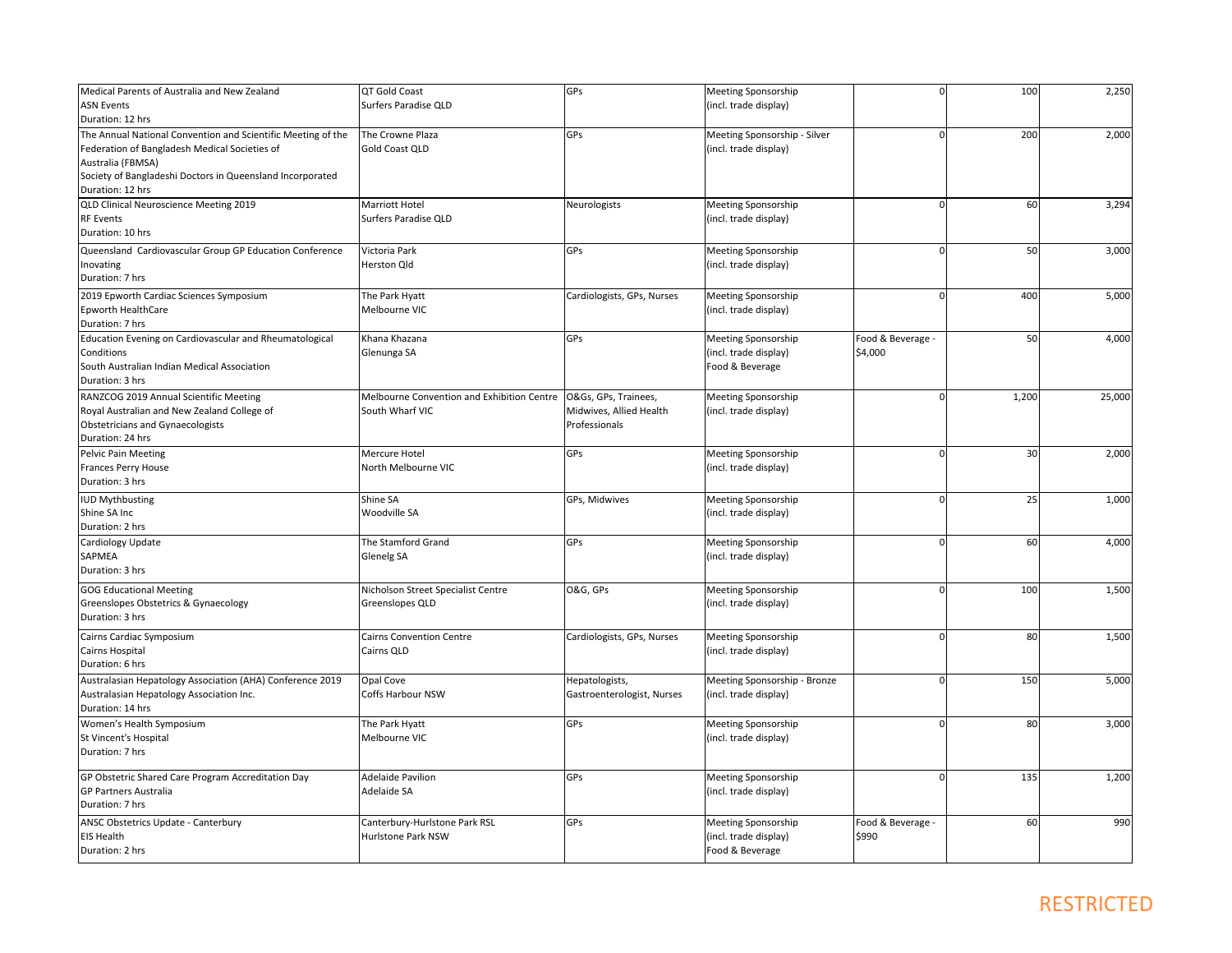| Medical Parents of Australia and New Zealand                 | QT Gold Coast                              | GPs                        | Meeting Sponsorship          |                   | 100   | 2,250  |
|--------------------------------------------------------------|--------------------------------------------|----------------------------|------------------------------|-------------------|-------|--------|
| <b>ASN Events</b>                                            | Surfers Paradise QLD                       |                            | (incl. trade display)        |                   |       |        |
| Duration: 12 hrs                                             |                                            |                            |                              |                   |       |        |
| The Annual National Convention and Scientific Meeting of the | The Crowne Plaza                           | GPs                        | Meeting Sponsorship - Silver |                   | 200   | 2,000  |
| Federation of Bangladesh Medical Societies of                | Gold Coast QLD                             |                            | (incl. trade display)        |                   |       |        |
| Australia (FBMSA)                                            |                                            |                            |                              |                   |       |        |
| Society of Bangladeshi Doctors in Queensland Incorporated    |                                            |                            |                              |                   |       |        |
| Duration: 12 hrs                                             |                                            |                            |                              |                   |       |        |
| QLD Clinical Neuroscience Meeting 2019                       | Marriott Hotel                             | Neurologists               | <b>Meeting Sponsorship</b>   |                   | 60    | 3,294  |
| RF Events                                                    | Surfers Paradise QLD                       |                            | (incl. trade display)        |                   |       |        |
| Duration: 10 hrs                                             |                                            |                            |                              |                   |       |        |
| Queensland Cardiovascular Group GP Education Conference      | Victoria Park                              | GPs                        | Meeting Sponsorship          |                   | 50    | 3,000  |
| Inovating                                                    | Herston Qld                                |                            | (incl. trade display)        |                   |       |        |
| Duration: 7 hrs                                              |                                            |                            |                              |                   |       |        |
| 2019 Epworth Cardiac Sciences Symposium                      | The Park Hyatt                             | Cardiologists, GPs, Nurses | Meeting Sponsorship          |                   | 400   | 5,000  |
| <b>Epworth HealthCare</b>                                    | Melbourne VIC                              |                            | (incl. trade display)        |                   |       |        |
| Duration: 7 hrs                                              |                                            |                            |                              |                   |       |        |
| Education Evening on Cardiovascular and Rheumatological      | Khana Khazana                              | GPs                        | Meeting Sponsorship          | Food & Beverage - | 50    | 4,000  |
| Conditions                                                   | Glenunga SA                                |                            | (incl. trade display)        | \$4,000           |       |        |
| South Australian Indian Medical Association                  |                                            |                            | Food & Beverage              |                   |       |        |
| Duration: 3 hrs                                              |                                            |                            |                              |                   |       |        |
| RANZCOG 2019 Annual Scientific Meeting                       | Melbourne Convention and Exhibition Centre | O&Gs, GPs, Trainees,       | <b>Meeting Sponsorship</b>   |                   | 1,200 | 25,000 |
| Royal Australian and New Zealand College of                  | South Wharf VIC                            | Midwives, Allied Health    | (incl. trade display)        |                   |       |        |
| <b>Obstetricians and Gynaecologists</b>                      |                                            | Professionals              |                              |                   |       |        |
| Duration: 24 hrs                                             |                                            |                            |                              |                   |       |        |
| <b>Pelvic Pain Meeting</b>                                   | Mercure Hotel                              | GPs                        | <b>Meeting Sponsorship</b>   |                   | 30    | 2,000  |
| <b>Frances Perry House</b>                                   | North Melbourne VIC                        |                            | (incl. trade display)        |                   |       |        |
| Duration: 3 hrs                                              |                                            |                            |                              |                   |       |        |
| <b>UD Mythbusting</b>                                        | Shine SA                                   | GPs, Midwives              | <b>Meeting Sponsorship</b>   |                   | 25    | 1,000  |
| Shine SA Inc                                                 | <b>Woodville SA</b>                        |                            | (incl. trade display)        |                   |       |        |
| Duration: 2 hrs                                              |                                            |                            |                              |                   |       |        |
| Cardiology Update                                            | The Stamford Grand                         | GPs                        | Meeting Sponsorship          | $\Omega$          | 60    | 4,000  |
| SAPMEA                                                       | Glenelg SA                                 |                            | (incl. trade display)        |                   |       |        |
| Duration: 3 hrs                                              |                                            |                            |                              |                   |       |        |
| <b>GOG Educational Meeting</b>                               | Nicholson Street Specialist Centre         | O&G, GPs                   | <b>Meeting Sponsorship</b>   |                   | 100   | 1,500  |
| Greenslopes Obstetrics & Gynaecology                         | Greenslopes QLD                            |                            | (incl. trade display)        |                   |       |        |
| Duration: 3 hrs                                              |                                            |                            |                              |                   |       |        |
| Cairns Cardiac Symposium                                     | <b>Cairns Convention Centre</b>            | Cardiologists, GPs, Nurses | <b>Meeting Sponsorship</b>   |                   | 80    | 1,500  |
| Cairns Hospital                                              | Cairns QLD                                 |                            | (incl. trade display)        |                   |       |        |
| Duration: 6 hrs                                              |                                            |                            |                              |                   |       |        |
| Australasian Hepatology Association (AHA) Conference 2019    | Opal Cove                                  | Hepatologists,             | Meeting Sponsorship - Bronze |                   | 150   | 5,000  |
| Australasian Hepatology Association Inc.                     | Coffs Harbour NSW                          | Gastroenterologist, Nurses | (incl. trade display)        |                   |       |        |
| Duration: 14 hrs                                             |                                            |                            |                              |                   |       |        |
| Women's Health Symposium                                     | The Park Hyatt                             | GPs                        | <b>Meeting Sponsorship</b>   |                   | 80    | 3,000  |
| St Vincent's Hospital                                        | Melbourne VIC                              |                            | (incl. trade display)        |                   |       |        |
| Duration: 7 hrs                                              |                                            |                            |                              |                   |       |        |
|                                                              |                                            |                            |                              |                   |       |        |
| GP Obstetric Shared Care Program Accreditation Day           | <b>Adelaide Pavilion</b>                   | GPs                        | <b>Meeting Sponsorship</b>   |                   | 135   | 1,200  |
| <b>GP Partners Australia</b>                                 | Adelaide SA                                |                            | (incl. trade display)        |                   |       |        |
| Duration: 7 hrs                                              |                                            |                            |                              |                   |       |        |
| ANSC Obstetrics Update - Canterbury                          | Canterbury-Hurlstone Park RSL              | GPs                        | <b>Meeting Sponsorship</b>   | Food & Beverage - | 60    | 990    |
| <b>EIS Health</b>                                            | Hurlstone Park NSW                         |                            | (incl. trade display)        | \$990             |       |        |
| Duration: 2 hrs                                              |                                            |                            | Food & Beverage              |                   |       |        |
|                                                              |                                            |                            |                              |                   |       |        |